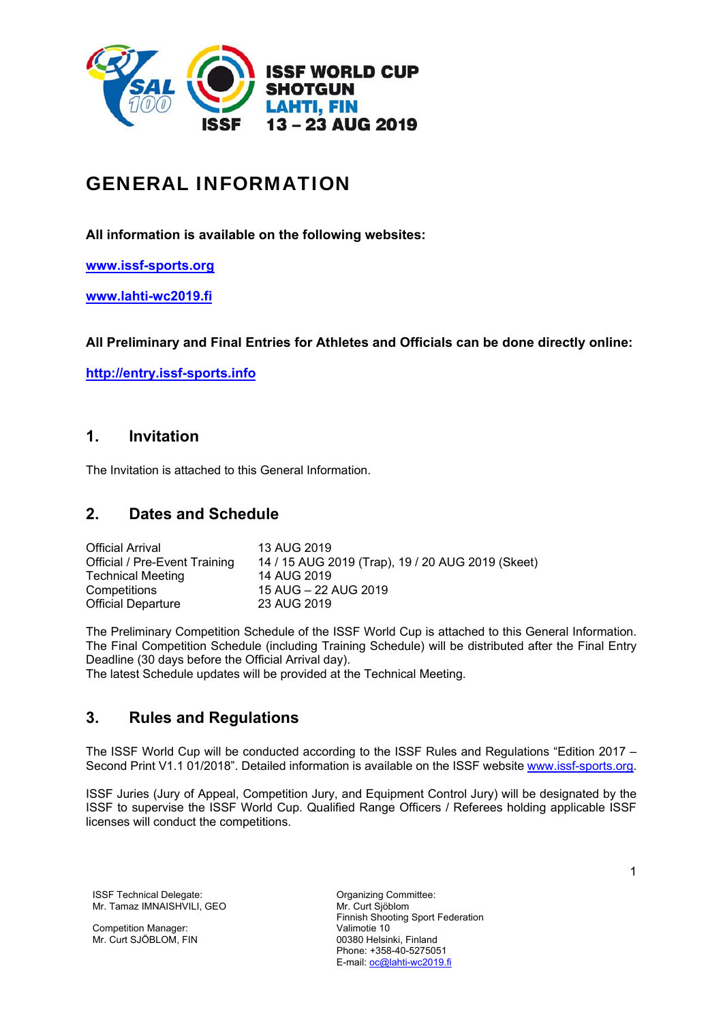

# GENERAL INFORMATION

**All information is available on the following websites:** 

**www.issf-sports.org**

**www.lahti-wc2019.fi**

**All Preliminary and Final Entries for Athletes and Officials can be done directly online:** 

**http://entry.issf-sports.info**

# **1. Invitation**

The Invitation is attached to this General Information.

# **2. Dates and Schedule**

| <b>Official Arrival</b>       | 13 AUG 2019                                       |
|-------------------------------|---------------------------------------------------|
| Official / Pre-Event Training | 14 / 15 AUG 2019 (Trap), 19 / 20 AUG 2019 (Skeet) |
| <b>Technical Meeting</b>      | 14 AUG 2019                                       |
| Competitions                  | 15 AUG - 22 AUG 2019                              |
| <b>Official Departure</b>     | 23 AUG 2019                                       |

The Preliminary Competition Schedule of the ISSF World Cup is attached to this General Information. The Final Competition Schedule (including Training Schedule) will be distributed after the Final Entry Deadline (30 days before the Official Arrival day).

The latest Schedule updates will be provided at the Technical Meeting.

# **3. Rules and Regulations**

The ISSF World Cup will be conducted according to the ISSF Rules and Regulations "Edition 2017 – Second Print V1.1 01/2018". Detailed information is available on the ISSF website www.issf-sports.org.

ISSF Juries (Jury of Appeal, Competition Jury, and Equipment Control Jury) will be designated by the ISSF to supervise the ISSF World Cup. Qualified Range Officers / Referees holding applicable ISSF licenses will conduct the competitions.

ISSF Technical Delegate: Committee: Committee: Mr. Tamaz IMNAISHVILI, GEO

Competition Manager: Mr. Curt SJÖBLOM, FIN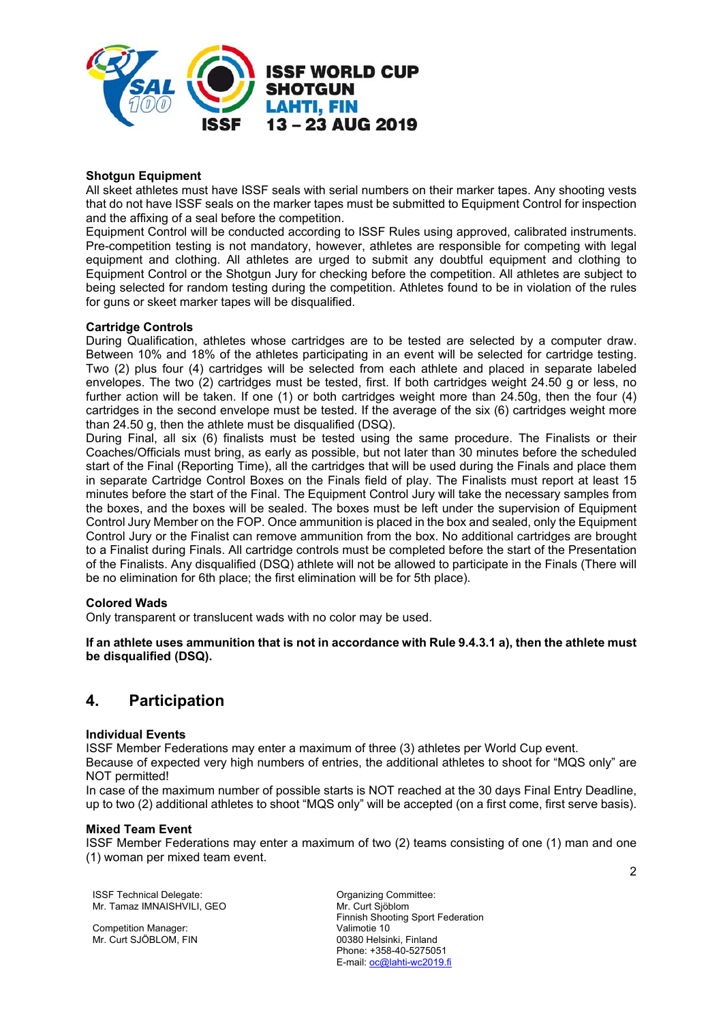

### **Shotgun Equipment**

All skeet athletes must have ISSF seals with serial numbers on their marker tapes. Any shooting vests that do not have ISSF seals on the marker tapes must be submitted to Equipment Control for inspection and the affixing of a seal before the competition.

Equipment Control will be conducted according to ISSF Rules using approved, calibrated instruments. Pre-competition testing is not mandatory, however, athletes are responsible for competing with legal equipment and clothing. All athletes are urged to submit any doubtful equipment and clothing to Equipment Control or the Shotgun Jury for checking before the competition. All athletes are subject to being selected for random testing during the competition. Athletes found to be in violation of the rules for guns or skeet marker tapes will be disqualified.

#### **Cartridge Controls**

During Qualification, athletes whose cartridges are to be tested are selected by a computer draw. Between 10% and 18% of the athletes participating in an event will be selected for cartridge testing. Two (2) plus four (4) cartridges will be selected from each athlete and placed in separate labeled envelopes. The two (2) cartridges must be tested, first. If both cartridges weight 24.50 g or less, no further action will be taken. If one (1) or both cartridges weight more than 24.50g, then the four (4) cartridges in the second envelope must be tested. If the average of the six (6) cartridges weight more than 24.50 g, then the athlete must be disqualified (DSQ).

During Final, all six (6) finalists must be tested using the same procedure. The Finalists or their Coaches/Officials must bring, as early as possible, but not later than 30 minutes before the scheduled start of the Final (Reporting Time), all the cartridges that will be used during the Finals and place them in separate Cartridge Control Boxes on the Finals field of play. The Finalists must report at least 15 minutes before the start of the Final. The Equipment Control Jury will take the necessary samples from the boxes, and the boxes will be sealed. The boxes must be left under the supervision of Equipment Control Jury Member on the FOP. Once ammunition is placed in the box and sealed, only the Equipment Control Jury or the Finalist can remove ammunition from the box. No additional cartridges are brought to a Finalist during Finals. All cartridge controls must be completed before the start of the Presentation of the Finalists. Any disqualified (DSQ) athlete will not be allowed to participate in the Finals (There will be no elimination for 6th place; the first elimination will be for 5th place).

#### **Colored Wads**

Only transparent or translucent wads with no color may be used.

**If an athlete uses ammunition that is not in accordance with Rule 9.4.3.1 a), then the athlete must be disqualified (DSQ).**

# **4. Participation**

#### **Individual Events**

ISSF Member Federations may enter a maximum of three (3) athletes per World Cup event.

Because of expected very high numbers of entries, the additional athletes to shoot for "MQS only" are NOT permitted!

In case of the maximum number of possible starts is NOT reached at the 30 days Final Entry Deadline, up to two (2) additional athletes to shoot "MQS only" will be accepted (on a first come, first serve basis).

#### **Mixed Team Event**

ISSF Member Federations may enter a maximum of two (2) teams consisting of one (1) man and one (1) woman per mixed team event.

ISSF Technical Delegate: Organizing Committee: Mr. Tamaz IMNAISHVILI, GEO

Competition Manager: Mr. Curt SJÖBLOM, FIN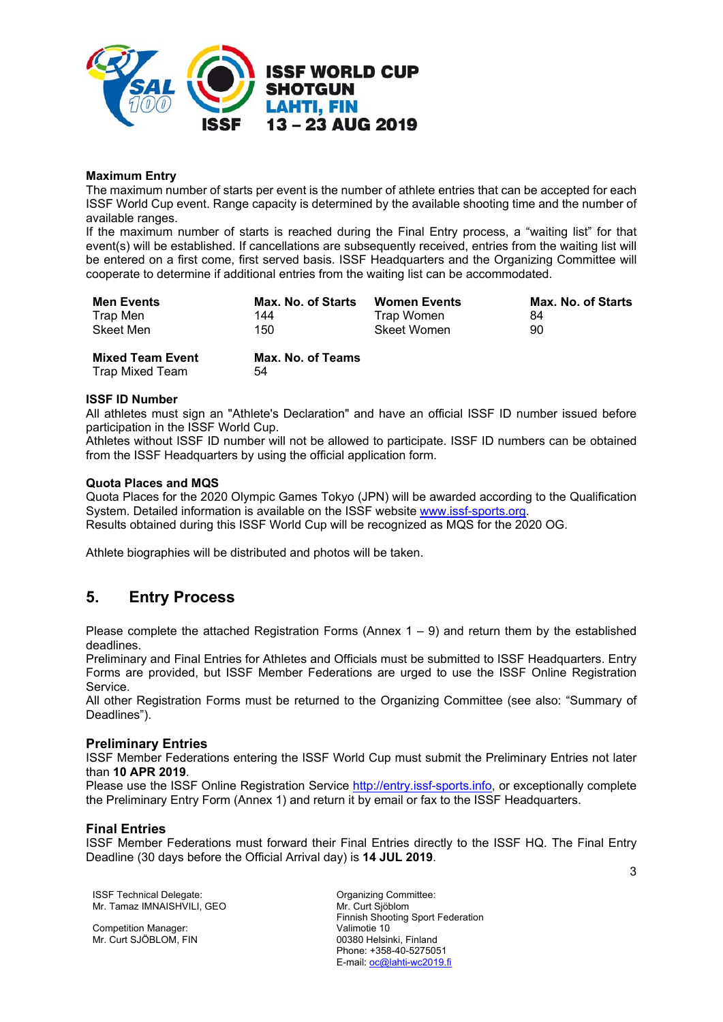

### **Maximum Entry**

The maximum number of starts per event is the number of athlete entries that can be accepted for each ISSF World Cup event. Range capacity is determined by the available shooting time and the number of available ranges.

If the maximum number of starts is reached during the Final Entry process, a "waiting list" for that event(s) will be established. If cancellations are subsequently received, entries from the waiting list will be entered on a first come, first served basis. ISSF Headquarters and the Organizing Committee will cooperate to determine if additional entries from the waiting list can be accommodated.

| <b>Men Events</b>                          | Max. No. of Starts      | <b>Women Events</b> | Max. No. of Starts |
|--------------------------------------------|-------------------------|---------------------|--------------------|
| Trap Men                                   | 144                     | Trap Women          | 84                 |
| Skeet Men                                  | 150                     | <b>Skeet Women</b>  | 90                 |
| <b>Mixed Team Event</b><br>Trap Mixed Team | Max. No. of Teams<br>54 |                     |                    |

#### **ISSF ID Number**

All athletes must sign an "Athlete's Declaration" and have an official ISSF ID number issued before participation in the ISSF World Cup.

Athletes without ISSF ID number will not be allowed to participate. ISSF ID numbers can be obtained from the ISSF Headquarters by using the official application form.

#### **Quota Places and MQS**

Quota Places for the 2020 Olympic Games Tokyo (JPN) will be awarded according to the Qualification System. Detailed information is available on the ISSF website www.issf-sports.org.

Results obtained during this ISSF World Cup will be recognized as MQS for the 2020 OG.

Athlete biographies will be distributed and photos will be taken.

# **5. Entry Process**

Please complete the attached Registration Forms (Annex  $1 - 9$ ) and return them by the established deadlines.

Preliminary and Final Entries for Athletes and Officials must be submitted to ISSF Headquarters. Entry Forms are provided, but ISSF Member Federations are urged to use the ISSF Online Registration Service.

All other Registration Forms must be returned to the Organizing Committee (see also: "Summary of Deadlines").

#### **Preliminary Entries**

ISSF Member Federations entering the ISSF World Cup must submit the Preliminary Entries not later than **10 APR 2019**.

Please use the ISSF Online Registration Service http://entry.issf-sports.info, or exceptionally complete the Preliminary Entry Form (Annex 1) and return it by email or fax to the ISSF Headquarters.

### **Final Entries**

ISSF Member Federations must forward their Final Entries directly to the ISSF HQ. The Final Entry Deadline (30 days before the Official Arrival day) is **14 JUL 2019**.

**ISSF Technical Delegate:** Committee: Committee: Mr. Tamaz IMNAISHVILI, GEO

Competition Manager: Mr. Curt SJÖBLOM, FIN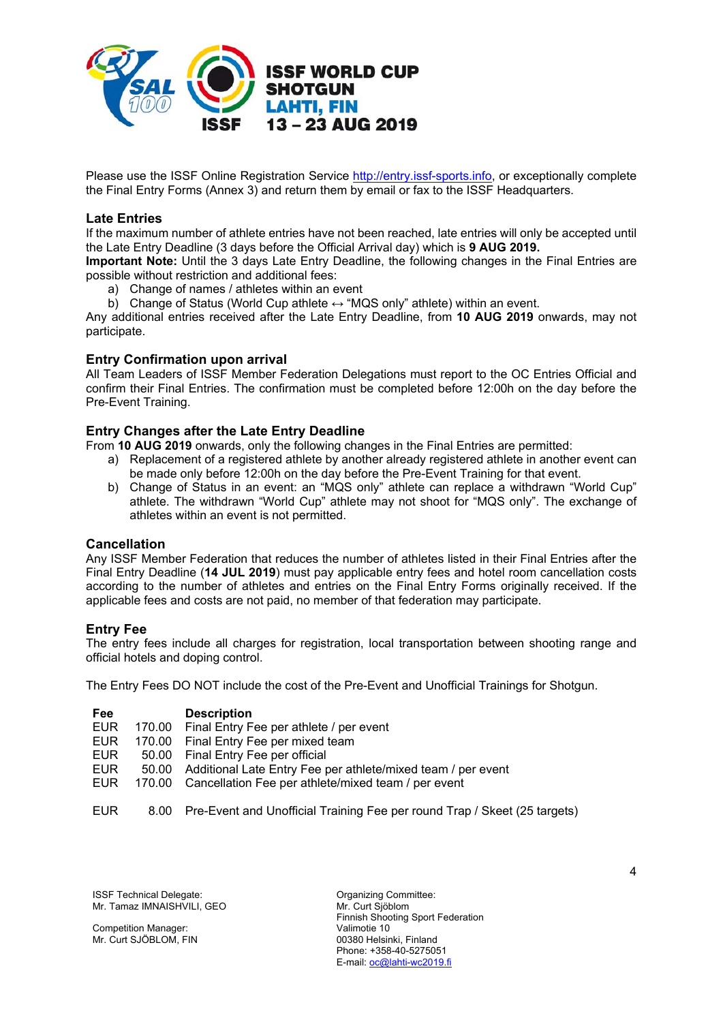

Please use the ISSF Online Registration Service http://entry.issf-sports.info, or exceptionally complete the Final Entry Forms (Annex 3) and return them by email or fax to the ISSF Headquarters.

### **Late Entries**

If the maximum number of athlete entries have not been reached, late entries will only be accepted until the Late Entry Deadline (3 days before the Official Arrival day) which is **9 AUG 2019.** 

**Important Note:** Until the 3 days Late Entry Deadline, the following changes in the Final Entries are possible without restriction and additional fees:

- a) Change of names / athletes within an event
- b) Change of Status (World Cup athlete ↔ "MQS only" athlete) within an event.

Any additional entries received after the Late Entry Deadline, from **10 AUG 2019** onwards, may not participate.

### **Entry Confirmation upon arrival**

All Team Leaders of ISSF Member Federation Delegations must report to the OC Entries Official and confirm their Final Entries. The confirmation must be completed before 12:00h on the day before the Pre-Event Training.

### **Entry Changes after the Late Entry Deadline**

From **10 AUG 2019** onwards, only the following changes in the Final Entries are permitted:

- a) Replacement of a registered athlete by another already registered athlete in another event can be made only before 12:00h on the day before the Pre-Event Training for that event.
- b) Change of Status in an event: an "MQS only" athlete can replace a withdrawn "World Cup" athlete. The withdrawn "World Cup" athlete may not shoot for "MQS only". The exchange of athletes within an event is not permitted.

### **Cancellation**

Any ISSF Member Federation that reduces the number of athletes listed in their Final Entries after the Final Entry Deadline (**14 JUL 2019**) must pay applicable entry fees and hotel room cancellation costs according to the number of athletes and entries on the Final Entry Forms originally received. If the applicable fees and costs are not paid, no member of that federation may participate.

### **Entry Fee**

The entry fees include all charges for registration, local transportation between shooting range and official hotels and doping control.

The Entry Fees DO NOT include the cost of the Pre-Event and Unofficial Trainings for Shotgun.

| <b>Fee</b> |        | <b>Description</b>                                           |
|------------|--------|--------------------------------------------------------------|
| <b>EUR</b> | 170.00 | Final Entry Fee per athlete / per event                      |
| <b>EUR</b> |        | 170.00 Final Entry Fee per mixed team                        |
| EUR        |        | 50.00 Final Entry Fee per official                           |
| EUR.       | 50.00  | Additional Late Entry Fee per athlete/mixed team / per event |
| <b>EUR</b> |        | 170.00 Cancellation Fee per athlete/mixed team / per event   |
|            |        |                                                              |
|            |        |                                                              |

EUR 8.00 Pre-Event and Unofficial Training Fee per round Trap / Skeet (25 targets)

**ISSF Technical Delegate:** Committee: Committee: Mr. Tamaz IMNAISHVILI, GEO

Competition Manager: Mr. Curt SJÖBLOM, FIN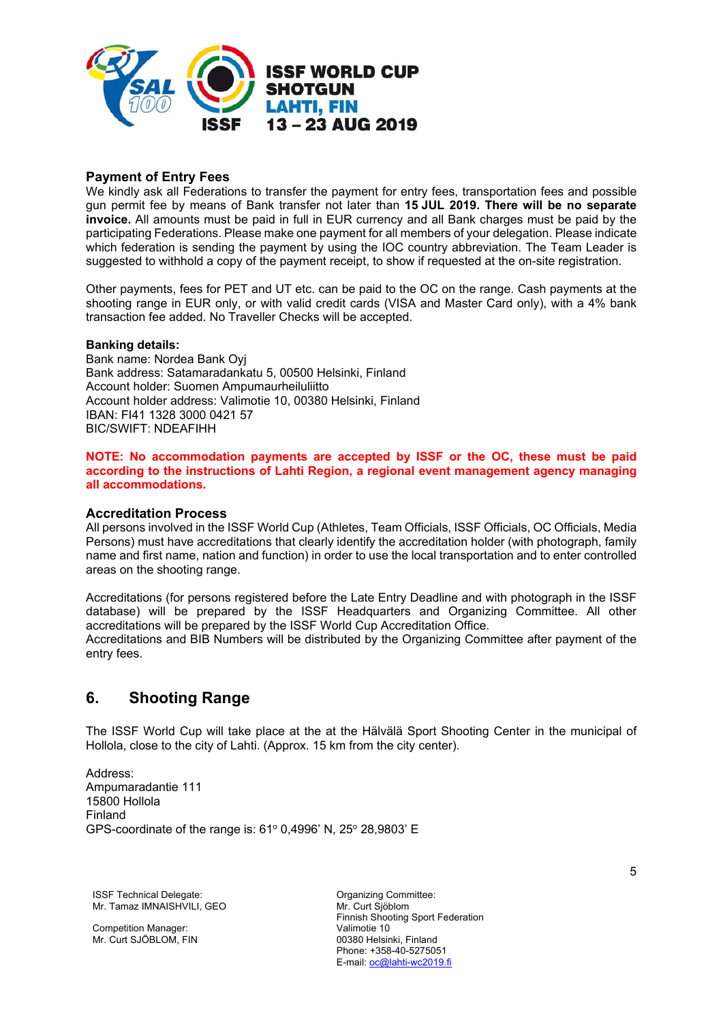

# **Payment of Entry Fees**

We kindly ask all Federations to transfer the payment for entry fees, transportation fees and possible gun permit fee by means of Bank transfer not later than **15 JUL 2019. There will be no separate invoice.** All amounts must be paid in full in EUR currency and all Bank charges must be paid by the participating Federations. Please make one payment for all members of your delegation. Please indicate which federation is sending the payment by using the IOC country abbreviation. The Team Leader is suggested to withhold a copy of the payment receipt, to show if requested at the on-site registration.

Other payments, fees for PET and UT etc. can be paid to the OC on the range. Cash payments at the shooting range in EUR only, or with valid credit cards (VISA and Master Card only), with a 4% bank transaction fee added. No Traveller Checks will be accepted.

#### **Banking details:**

Bank name: Nordea Bank Oyj Bank address: Satamaradankatu 5, 00500 Helsinki, Finland Account holder: Suomen Ampumaurheiluliitto Account holder address: Valimotie 10, 00380 Helsinki, Finland IBAN: FI41 1328 3000 0421 57 BIC/SWIFT: NDEAFIHH

**NOTE: No accommodation payments are accepted by ISSF or the OC, these must be paid according to the instructions of Lahti Region, a regional event management agency managing all accommodations.** 

#### **Accreditation Process**

All persons involved in the ISSF World Cup (Athletes, Team Officials, ISSF Officials, OC Officials, Media Persons) must have accreditations that clearly identify the accreditation holder (with photograph, family name and first name, nation and function) in order to use the local transportation and to enter controlled areas on the shooting range.

Accreditations (for persons registered before the Late Entry Deadline and with photograph in the ISSF database) will be prepared by the ISSF Headquarters and Organizing Committee. All other accreditations will be prepared by the ISSF World Cup Accreditation Office. Accreditations and BIB Numbers will be distributed by the Organizing Committee after payment of the entry fees.

# **6. Shooting Range**

The ISSF World Cup will take place at the at the Hälvälä Sport Shooting Center in the municipal of Hollola, close to the city of Lahti. (Approx. 15 km from the city center).

Address: Ampumaradantie 111 15800 Hollola Finland GPS-coordinate of the range is: 61° 0,4996' N, 25° 28,9803' E

**ISSF Technical Delegate:** Committee: Committee: Mr. Tamaz IMNAISHVILI, GEO

Competition Manager: Mr. Curt SJÖBLOM, FIN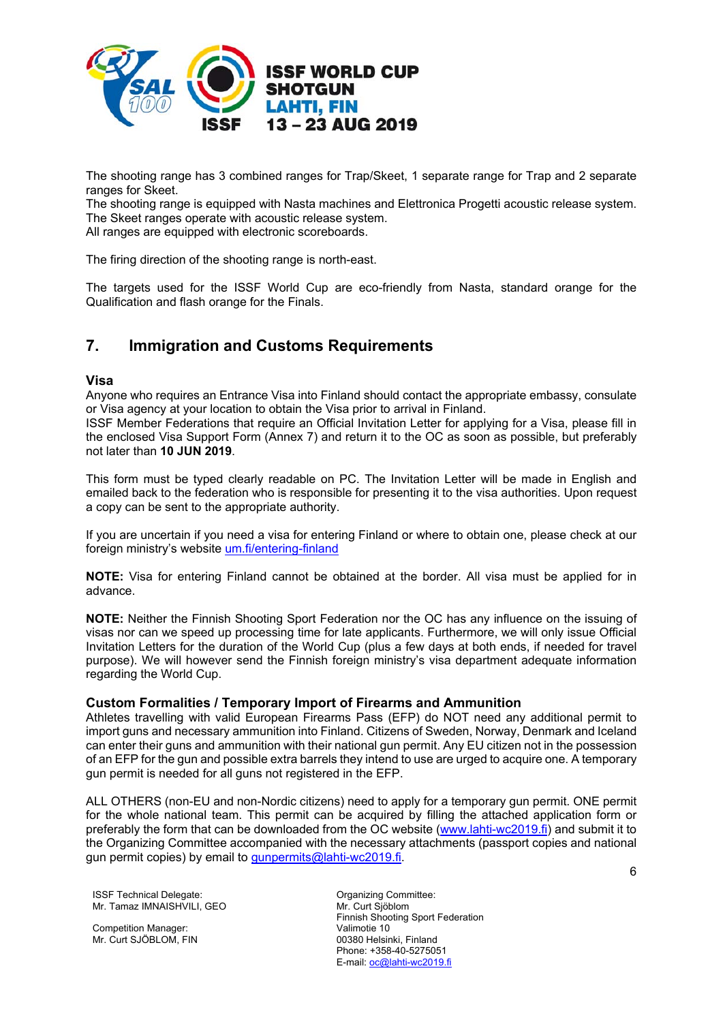

The shooting range has 3 combined ranges for Trap/Skeet, 1 separate range for Trap and 2 separate ranges for Skeet.

The shooting range is equipped with Nasta machines and Elettronica Progetti acoustic release system. The Skeet ranges operate with acoustic release system.

All ranges are equipped with electronic scoreboards.

The firing direction of the shooting range is north-east.

The targets used for the ISSF World Cup are eco-friendly from Nasta, standard orange for the Qualification and flash orange for the Finals.

# **7. Immigration and Customs Requirements**

### **Visa**

Anyone who requires an Entrance Visa into Finland should contact the appropriate embassy, consulate or Visa agency at your location to obtain the Visa prior to arrival in Finland.

ISSF Member Federations that require an Official Invitation Letter for applying for a Visa, please fill in the enclosed Visa Support Form (Annex 7) and return it to the OC as soon as possible, but preferably not later than **10 JUN 2019**.

This form must be typed clearly readable on PC. The Invitation Letter will be made in English and emailed back to the federation who is responsible for presenting it to the visa authorities. Upon request a copy can be sent to the appropriate authority.

If you are uncertain if you need a visa for entering Finland or where to obtain one, please check at our foreign ministry's website um.fi/entering-finland

**NOTE:** Visa for entering Finland cannot be obtained at the border. All visa must be applied for in advance.

**NOTE:** Neither the Finnish Shooting Sport Federation nor the OC has any influence on the issuing of visas nor can we speed up processing time for late applicants. Furthermore, we will only issue Official Invitation Letters for the duration of the World Cup (plus a few days at both ends, if needed for travel purpose). We will however send the Finnish foreign ministry's visa department adequate information regarding the World Cup.

### **Custom Formalities / Temporary Import of Firearms and Ammunition**

Athletes travelling with valid European Firearms Pass (EFP) do NOT need any additional permit to import guns and necessary ammunition into Finland. Citizens of Sweden, Norway, Denmark and Iceland can enter their guns and ammunition with their national gun permit. Any EU citizen not in the possession of an EFP for the gun and possible extra barrels they intend to use are urged to acquire one. A temporary gun permit is needed for all guns not registered in the EFP.

ALL OTHERS (non-EU and non-Nordic citizens) need to apply for a temporary gun permit. ONE permit for the whole national team. This permit can be acquired by filling the attached application form or preferably the form that can be downloaded from the OC website (www.lahti-wc2019.fi) and submit it to the Organizing Committee accompanied with the necessary attachments (passport copies and national gun permit copies) by email to gunpermits@lahti-wc2019.fi.

**ISSF Technical Delegate:** Committee: Committee: Mr. Tamaz IMNAISHVILI, GEO

Competition Manager: Mr. Curt SJÖBLOM, FIN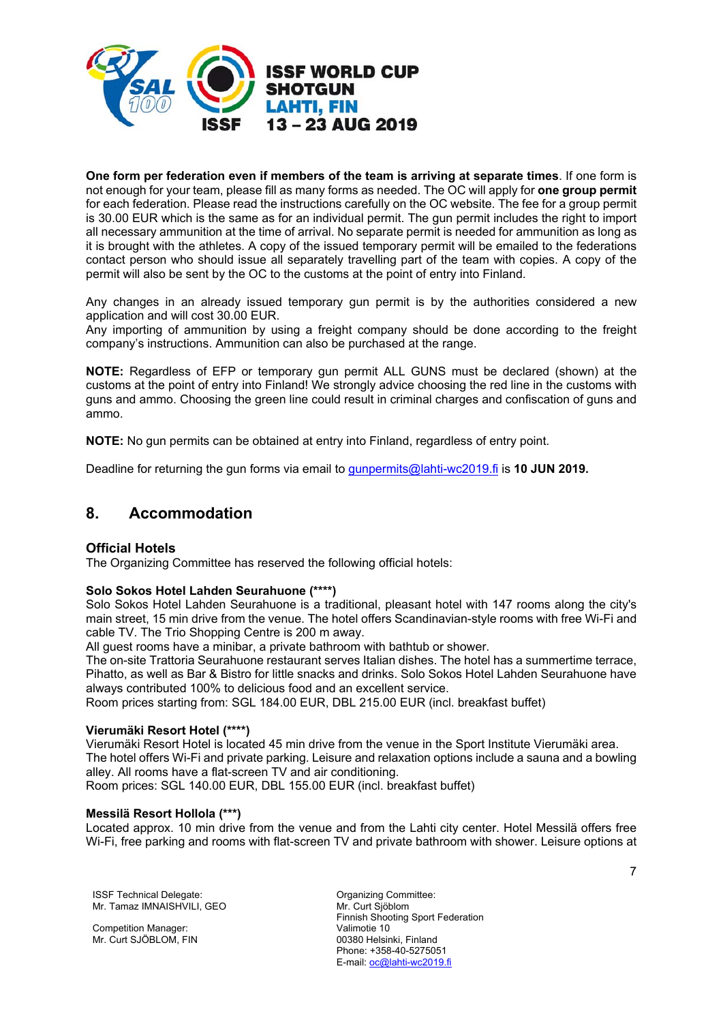

**One form per federation even if members of the team is arriving at separate times**. If one form is not enough for your team, please fill as many forms as needed. The OC will apply for **one group permit** for each federation. Please read the instructions carefully on the OC website. The fee for a group permit is 30.00 EUR which is the same as for an individual permit. The gun permit includes the right to import all necessary ammunition at the time of arrival. No separate permit is needed for ammunition as long as it is brought with the athletes. A copy of the issued temporary permit will be emailed to the federations contact person who should issue all separately travelling part of the team with copies. A copy of the permit will also be sent by the OC to the customs at the point of entry into Finland.

Any changes in an already issued temporary gun permit is by the authorities considered a new application and will cost 30.00 EUR.

Any importing of ammunition by using a freight company should be done according to the freight company's instructions. Ammunition can also be purchased at the range.

**NOTE:** Regardless of EFP or temporary gun permit ALL GUNS must be declared (shown) at the customs at the point of entry into Finland! We strongly advice choosing the red line in the customs with guns and ammo. Choosing the green line could result in criminal charges and confiscation of guns and ammo.

**NOTE:** No gun permits can be obtained at entry into Finland, regardless of entry point.

Deadline for returning the gun forms via email to gunpermits@lahti-wc2019.fi is **10 JUN 2019.** 

# **8. Accommodation**

### **Official Hotels**

The Organizing Committee has reserved the following official hotels:

#### **Solo Sokos Hotel Lahden Seurahuone (\*\*\*\*)**

Solo Sokos Hotel Lahden Seurahuone is a traditional, pleasant hotel with 147 rooms along the city's main street, 15 min drive from the venue. The hotel offers Scandinavian-style rooms with free Wi-Fi and cable TV. The Trio Shopping Centre is 200 m away.

All guest rooms have a minibar, a private bathroom with bathtub or shower.

The on-site Trattoria Seurahuone restaurant serves Italian dishes. The hotel has a summertime terrace, Pihatto, as well as Bar & Bistro for little snacks and drinks. Solo Sokos Hotel Lahden Seurahuone have always contributed 100% to delicious food and an excellent service.

Room prices starting from: SGL 184.00 EUR, DBL 215.00 EUR (incl. breakfast buffet)

### **Vierumäki Resort Hotel (\*\*\*\*)**

Vierumäki Resort Hotel is located 45 min drive from the venue in the Sport Institute Vierumäki area. The hotel offers Wi-Fi and private parking. Leisure and relaxation options include a sauna and a bowling alley. All rooms have a flat-screen TV and air conditioning. Room prices: SGL 140.00 EUR, DBL 155.00 EUR (incl. breakfast buffet)

#### **Messilä Resort Hollola (\*\*\*)**

Located approx. 10 min drive from the venue and from the Lahti city center. Hotel Messilä offers free Wi-Fi, free parking and rooms with flat-screen TV and private bathroom with shower. Leisure options at

**ISSF Technical Delegate:** Committee: Committee: Mr. Tamaz IMNAISHVILI, GEO

Competition Manager: Mr. Curt SJÖBLOM, FIN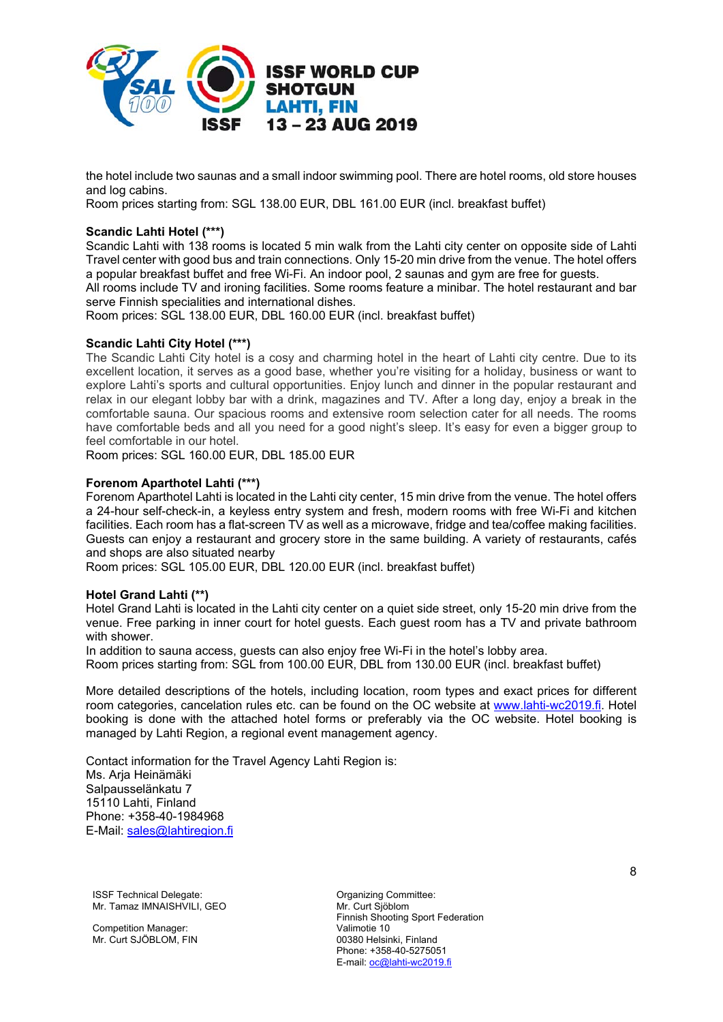

the hotel include two saunas and a small indoor swimming pool. There are hotel rooms, old store houses and log cabins.

Room prices starting from: SGL 138.00 EUR, DBL 161.00 EUR (incl. breakfast buffet)

# **Scandic Lahti Hotel (\*\*\*)**

Scandic Lahti with 138 rooms is located 5 min walk from the Lahti city center on opposite side of Lahti Travel center with good bus and train connections. Only 15-20 min drive from the venue. The hotel offers a popular breakfast buffet and free Wi-Fi. An indoor pool, 2 saunas and gym are free for guests.

All rooms include TV and ironing facilities. Some rooms feature a minibar. The hotel restaurant and bar serve Finnish specialities and international dishes.

Room prices: SGL 138.00 EUR, DBL 160.00 EUR (incl. breakfast buffet)

### **Scandic Lahti City Hotel (\*\*\*)**

The Scandic Lahti City hotel is a cosy and charming hotel in the heart of Lahti city centre. Due to its excellent location, it serves as a good base, whether you're visiting for a holiday, business or want to explore Lahti's sports and cultural opportunities. Enjoy lunch and dinner in the popular restaurant and relax in our elegant lobby bar with a drink, magazines and TV. After a long day, enjoy a break in the comfortable sauna. Our spacious rooms and extensive room selection cater for all needs. The rooms have comfortable beds and all you need for a good night's sleep. It's easy for even a bigger group to feel comfortable in our hotel.

Room prices: SGL 160.00 EUR, DBL 185.00 EUR

#### **Forenom Aparthotel Lahti (\*\*\*)**

Forenom Aparthotel Lahti is located in the Lahti city center, 15 min drive from the venue. The hotel offers a 24-hour self-check-in, a keyless entry system and fresh, modern rooms with free Wi-Fi and kitchen facilities. Each room has a flat-screen TV as well as a microwave, fridge and tea/coffee making facilities. Guests can enjoy a restaurant and grocery store in the same building. A variety of restaurants, cafés and shops are also situated nearby

Room prices: SGL 105.00 EUR, DBL 120.00 EUR (incl. breakfast buffet)

#### **Hotel Grand Lahti (\*\*)**

Hotel Grand Lahti is located in the Lahti city center on a quiet side street, only 15-20 min drive from the venue. Free parking in inner court for hotel guests. Each guest room has a TV and private bathroom with shower.

In addition to sauna access, guests can also enjoy free Wi-Fi in the hotel's lobby area. Room prices starting from: SGL from 100.00 EUR, DBL from 130.00 EUR (incl. breakfast buffet)

More detailed descriptions of the hotels, including location, room types and exact prices for different room categories, cancelation rules etc. can be found on the OC website at www.lahti-wc2019.fi. Hotel booking is done with the attached hotel forms or preferably via the OC website. Hotel booking is managed by Lahti Region, a regional event management agency.

Contact information for the Travel Agency Lahti Region is: Ms. Arja Heinämäki Salpausselänkatu 7 15110 Lahti, Finland Phone: +358-40-1984968 E-Mail: sales@lahtiregion.fi

**ISSF Technical Delegate:** Committee: Committee: Mr. Tamaz IMNAISHVILI, GEO

Competition Manager: Mr. Curt SJÖBLOM, FIN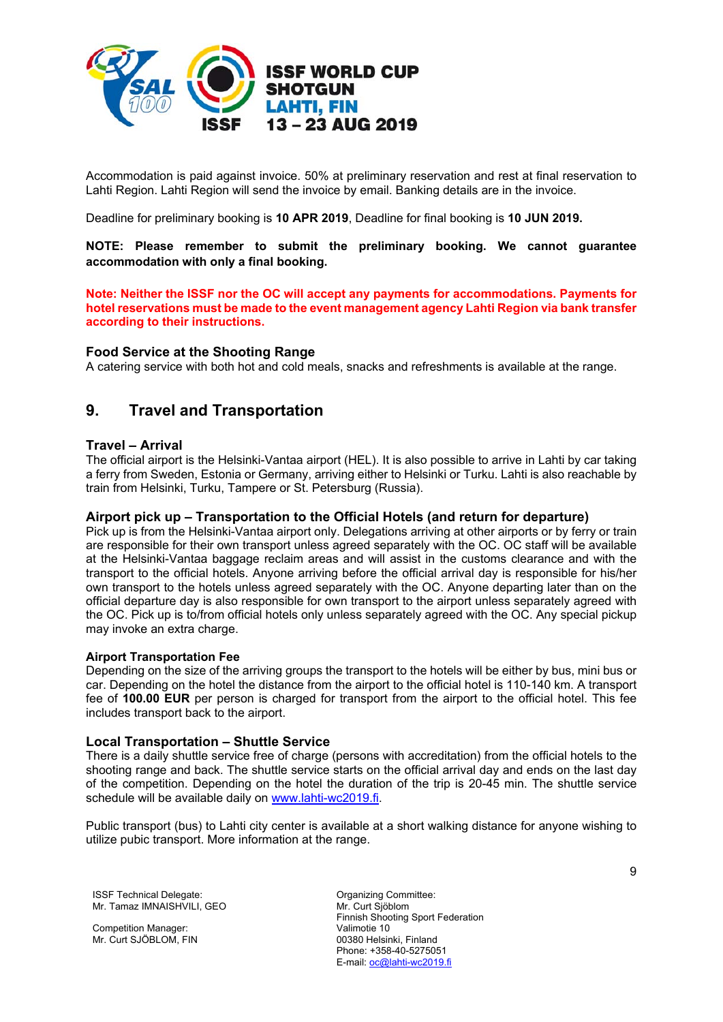

Accommodation is paid against invoice. 50% at preliminary reservation and rest at final reservation to Lahti Region. Lahti Region will send the invoice by email. Banking details are in the invoice.

Deadline for preliminary booking is **10 APR 2019**, Deadline for final booking is **10 JUN 2019.**

**NOTE: Please remember to submit the preliminary booking. We cannot guarantee accommodation with only a final booking.** 

**Note: Neither the ISSF nor the OC will accept any payments for accommodations. Payments for hotel reservations must be made to the event management agency Lahti Region via bank transfer according to their instructions.** 

### **Food Service at the Shooting Range**

A catering service with both hot and cold meals, snacks and refreshments is available at the range.

# **9. Travel and Transportation**

### **Travel – Arrival**

The official airport is the Helsinki-Vantaa airport (HEL). It is also possible to arrive in Lahti by car taking a ferry from Sweden, Estonia or Germany, arriving either to Helsinki or Turku. Lahti is also reachable by train from Helsinki, Turku, Tampere or St. Petersburg (Russia).

### **Airport pick up – Transportation to the Official Hotels (and return for departure)**

Pick up is from the Helsinki-Vantaa airport only. Delegations arriving at other airports or by ferry or train are responsible for their own transport unless agreed separately with the OC. OC staff will be available at the Helsinki-Vantaa baggage reclaim areas and will assist in the customs clearance and with the transport to the official hotels. Anyone arriving before the official arrival day is responsible for his/her own transport to the hotels unless agreed separately with the OC. Anyone departing later than on the official departure day is also responsible for own transport to the airport unless separately agreed with the OC. Pick up is to/from official hotels only unless separately agreed with the OC. Any special pickup may invoke an extra charge.

#### **Airport Transportation Fee**

Depending on the size of the arriving groups the transport to the hotels will be either by bus, mini bus or car. Depending on the hotel the distance from the airport to the official hotel is 110-140 km. A transport fee of **100.00 EUR** per person is charged for transport from the airport to the official hotel. This fee includes transport back to the airport.

### **Local Transportation – Shuttle Service**

There is a daily shuttle service free of charge (persons with accreditation) from the official hotels to the shooting range and back. The shuttle service starts on the official arrival day and ends on the last day of the competition. Depending on the hotel the duration of the trip is 20-45 min. The shuttle service schedule will be available daily on www.lahti-wc2019.fi.

Public transport (bus) to Lahti city center is available at a short walking distance for anyone wishing to utilize pubic transport. More information at the range.

**ISSF Technical Delegate:** Committee: Committee: Mr. Tamaz IMNAISHVILI, GEO

Competition Manager: Mr. Curt SJÖBLOM, FIN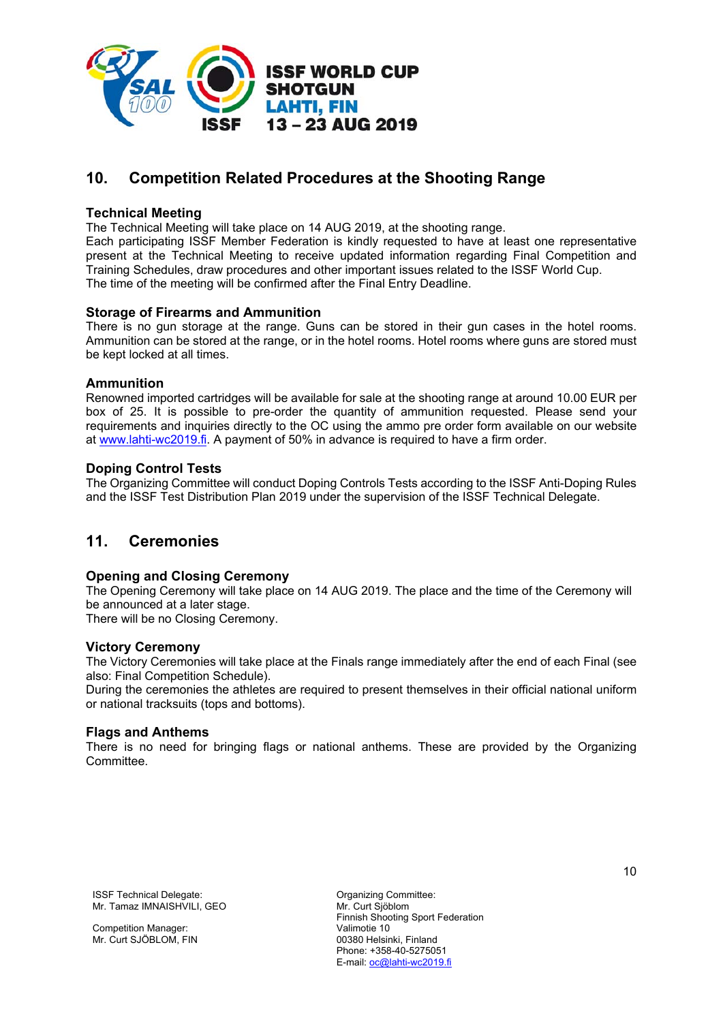

# **10. Competition Related Procedures at the Shooting Range**

# **Technical Meeting**

The Technical Meeting will take place on 14 AUG 2019, at the shooting range.

Each participating ISSF Member Federation is kindly requested to have at least one representative present at the Technical Meeting to receive updated information regarding Final Competition and Training Schedules, draw procedures and other important issues related to the ISSF World Cup. The time of the meeting will be confirmed after the Final Entry Deadline.

### **Storage of Firearms and Ammunition**

There is no gun storage at the range. Guns can be stored in their gun cases in the hotel rooms. Ammunition can be stored at the range, or in the hotel rooms. Hotel rooms where guns are stored must be kept locked at all times.

### **Ammunition**

Renowned imported cartridges will be available for sale at the shooting range at around 10.00 EUR per box of 25. It is possible to pre-order the quantity of ammunition requested. Please send your requirements and inquiries directly to the OC using the ammo pre order form available on our website at www.lahti-wc2019.fi. A payment of 50% in advance is required to have a firm order.

# **Doping Control Tests**

The Organizing Committee will conduct Doping Controls Tests according to the ISSF Anti-Doping Rules and the ISSF Test Distribution Plan 2019 under the supervision of the ISSF Technical Delegate.

# **11. Ceremonies**

### **Opening and Closing Ceremony**

The Opening Ceremony will take place on 14 AUG 2019. The place and the time of the Ceremony will be announced at a later stage.

There will be no Closing Ceremony.

### **Victory Ceremony**

The Victory Ceremonies will take place at the Finals range immediately after the end of each Final (see also: Final Competition Schedule).

During the ceremonies the athletes are required to present themselves in their official national uniform or national tracksuits (tops and bottoms).

### **Flags and Anthems**

There is no need for bringing flags or national anthems. These are provided by the Organizing **Committee.** 

**ISSF Technical Delegate:** Committee: Committee: Mr. Tamaz IMNAISHVILI, GEO

Competition Manager: Mr. Curt SJÖBLOM, FIN